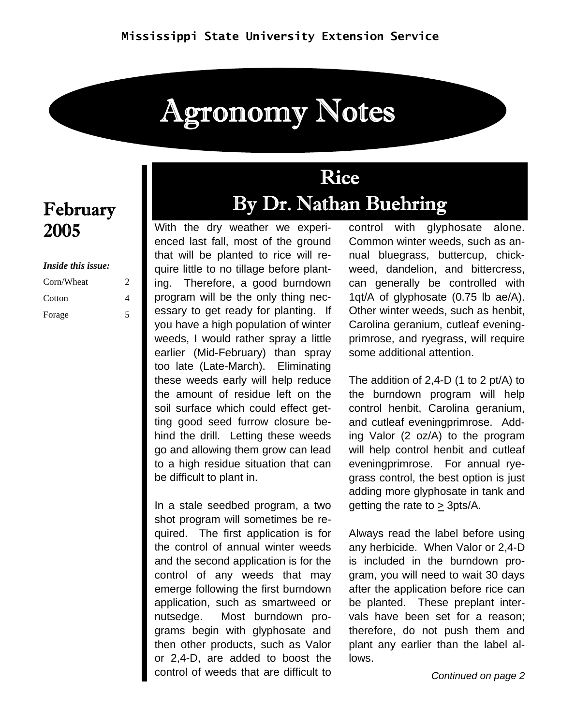# Agronomy Notes

# February 2005

#### *Inside this issue:*

| Corn/Wheat |   |
|------------|---|
| Cotton     | 4 |
| Forage     |   |

# Rice By Dr. Nathan Buehring

With the dry weather we experienced last fall, most of the ground that will be planted to rice will require little to no tillage before planting. Therefore, a good burndown program will be the only thing necessary to get ready for planting. If you have a high population of winter weeds, I would rather spray a little earlier (Mid-February) than spray too late (Late-March). Eliminating these weeds early will help reduce the amount of residue left on the soil surface which could effect getting good seed furrow closure behind the drill. Letting these weeds go and allowing them grow can lead to a high residue situation that can be difficult to plant in.

In a stale seedbed program, a two shot program will sometimes be required. The first application is for the control of annual winter weeds and the second application is for the control of any weeds that may emerge following the first burndown application, such as smartweed or nutsedge. Most burndown programs begin with glyphosate and then other products, such as Valor or 2,4-D, are added to boost the control of weeds that are difficult to

control with glyphosate alone. Common winter weeds, such as annual bluegrass, buttercup, chickweed, dandelion, and bittercress, can generally be controlled with 1qt/A of glyphosate (0.75 lb ae/A). Other winter weeds, such as henbit, Carolina geranium, cutleaf eveningprimrose, and ryegrass, will require some additional attention.

The addition of 2,4-D (1 to 2 pt/A) to the burndown program will help control henbit, Carolina geranium, and cutleaf eveningprimrose. Adding Valor (2 oz/A) to the program will help control henbit and cutleaf eveningprimrose. For annual ryegrass control, the best option is just adding more glyphosate in tank and getting the rate to > 3pts/A.

Always read the label before using any herbicide. When Valor or 2,4-D is included in the burndown program, you will need to wait 30 days after the application before rice can be planted. These preplant intervals have been set for a reason; therefore, do not push them and plant any earlier than the label allows.

*Continued on page 2*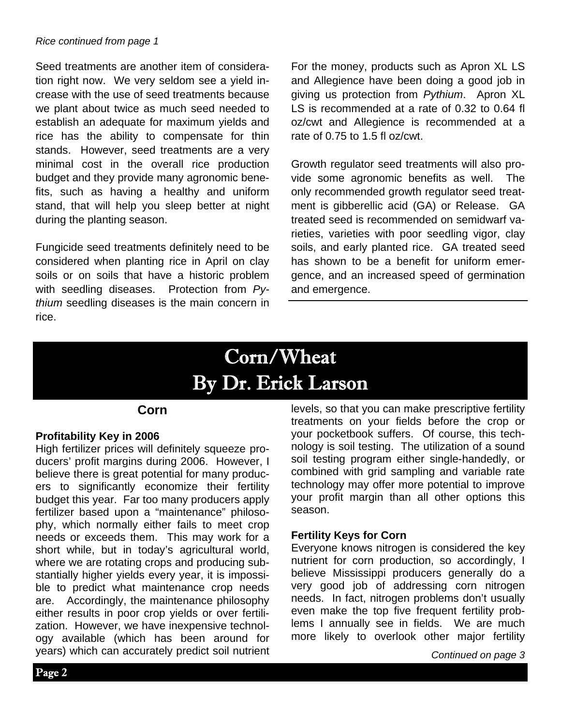#### *Rice continued from page 1*

Seed treatments are another item of consideration right now. We very seldom see a yield increase with the use of seed treatments because we plant about twice as much seed needed to establish an adequate for maximum yields and rice has the ability to compensate for thin stands. However, seed treatments are a very minimal cost in the overall rice production budget and they provide many agronomic benefits, such as having a healthy and uniform stand, that will help you sleep better at night during the planting season.

Fungicide seed treatments definitely need to be considered when planting rice in April on clay soils or on soils that have a historic problem with seedling diseases. Protection from *Pythium* seedling diseases is the main concern in rice.

For the money, products such as Apron XL LS and Allegience have been doing a good job in giving us protection from *Pythium*. Apron XL LS is recommended at a rate of 0.32 to 0.64 fl oz/cwt and Allegience is recommended at a rate of 0.75 to 1.5 fl oz/cwt.

Growth regulator seed treatments will also provide some agronomic benefits as well. The only recommended growth regulator seed treatment is gibberellic acid (GA) or Release. GA treated seed is recommended on semidwarf varieties, varieties with poor seedling vigor, clay soils, and early planted rice. GA treated seed has shown to be a benefit for uniform emergence, and an increased speed of germination and emergence.

# Corn/Wheat By Dr. Erick Larson

### **Corn**

#### **Profitability Key in 2006**

High fertilizer prices will definitely squeeze producers' profit margins during 2006. However, I believe there is great potential for many producers to significantly economize their fertility budget this year. Far too many producers apply fertilizer based upon a "maintenance" philosophy, which normally either fails to meet crop needs or exceeds them. This may work for a short while, but in today's agricultural world, where we are rotating crops and producing substantially higher yields every year, it is impossible to predict what maintenance crop needs are. Accordingly, the maintenance philosophy either results in poor crop yields or over fertilization. However, we have inexpensive technology available (which has been around for years) which can accurately predict soil nutrient

levels, so that you can make prescriptive fertility treatments on your fields before the crop or your pocketbook suffers. Of course, this technology is soil testing. The utilization of a sound soil testing program either single-handedly, or combined with grid sampling and variable rate technology may offer more potential to improve your profit margin than all other options this season.

#### **Fertility Keys for Corn**

Everyone knows nitrogen is considered the key nutrient for corn production, so accordingly, I believe Mississippi producers generally do a very good job of addressing corn nitrogen needs. In fact, nitrogen problems don't usually even make the top five frequent fertility problems I annually see in fields. We are much more likely to overlook other major fertility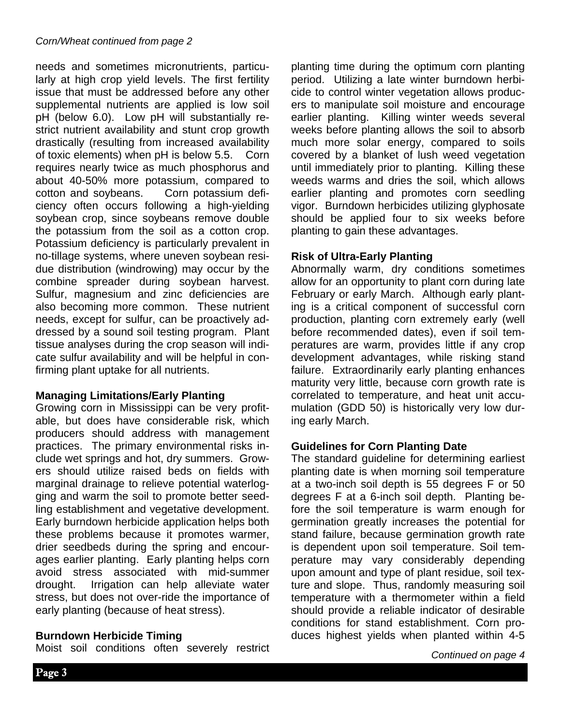needs and sometimes micronutrients, particularly at high crop yield levels. The first fertility issue that must be addressed before any other supplemental nutrients are applied is low soil pH (below 6.0). Low pH will substantially restrict nutrient availability and stunt crop growth drastically (resulting from increased availability of toxic elements) when pH is below 5.5. Corn requires nearly twice as much phosphorus and about 40-50% more potassium, compared to cotton and soybeans.Corn potassium deficiency often occurs following a high-yielding soybean crop, since soybeans remove double the potassium from the soil as a cotton crop. Potassium deficiency is particularly prevalent in no-tillage systems, where uneven soybean residue distribution (windrowing) may occur by the combine spreader during soybean harvest. Sulfur, magnesium and zinc deficiencies are also becoming more common. These nutrient needs, except for sulfur, can be proactively addressed by a sound soil testing program. Plant tissue analyses during the crop season will indicate sulfur availability and will be helpful in confirming plant uptake for all nutrients.

# **Managing Limitations/Early Planting**

Growing corn in Mississippi can be very profitable, but does have considerable risk, which producers should address with management practices. The primary environmental risks include wet springs and hot, dry summers. Growers should utilize raised beds on fields with marginal drainage to relieve potential waterlogging and warm the soil to promote better seedling establishment and vegetative development. Early burndown herbicide application helps both these problems because it promotes warmer, drier seedbeds during the spring and encourages earlier planting. Early planting helps corn avoid stress associated with mid-summer drought. Irrigation can help alleviate water stress, but does not over-ride the importance of early planting (because of heat stress).

# **Burndown Herbicide Timing**

Moist soil conditions often severely restrict

planting time during the optimum corn planting period. Utilizing a late winter burndown herbicide to control winter vegetation allows producers to manipulate soil moisture and encourage earlier planting. Killing winter weeds several weeks before planting allows the soil to absorb much more solar energy, compared to soils covered by a blanket of lush weed vegetation until immediately prior to planting. Killing these weeds warms and dries the soil, which allows earlier planting and promotes corn seedling vigor. Burndown herbicides utilizing glyphosate should be applied four to six weeks before planting to gain these advantages.

# **Risk of Ultra-Early Planting**

Abnormally warm, dry conditions sometimes allow for an opportunity to plant corn during late February or early March. Although early planting is a critical component of successful corn production, planting corn extremely early (well before recommended dates), even if soil temperatures are warm, provides little if any crop development advantages, while risking stand failure. Extraordinarily early planting enhances maturity very little, because corn growth rate is correlated to temperature, and heat unit accumulation (GDD 50) is historically very low during early March.

# **Guidelines for Corn Planting Date**

The standard guideline for determining earliest planting date is when morning soil temperature at a two-inch soil depth is 55 degrees F or 50 degrees F at a 6-inch soil depth. Planting before the soil temperature is warm enough for germination greatly increases the potential for stand failure, because germination growth rate is dependent upon soil temperature. Soil temperature may vary considerably depending upon amount and type of plant residue, soil texture and slope. Thus, randomly measuring soil temperature with a thermometer within a field should provide a reliable indicator of desirable conditions for stand establishment. Corn produces highest yields when planted within 4-5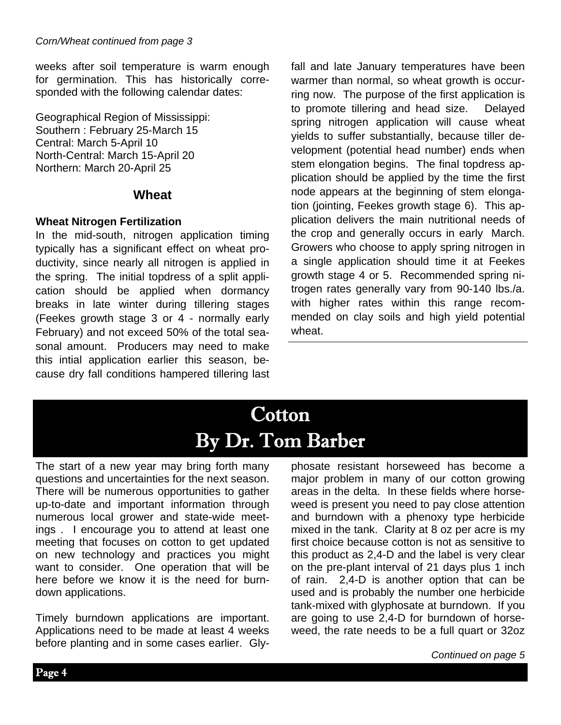weeks after soil temperature is warm enough for germination. This has historically corresponded with the following calendar dates:

Geographical Region of Mississippi: Southern : February 25-March 15 Central: March 5-April 10 North-Central: March 15-April 20 Northern: March 20-April 25

# **Wheat**

# **Wheat Nitrogen Fertilization**

In the mid-south, nitrogen application timing typically has a significant effect on wheat productivity, since nearly all nitrogen is applied in the spring. The initial topdress of a split application should be applied when dormancy breaks in late winter during tillering stages (Feekes growth stage 3 or 4 - normally early February) and not exceed 50% of the total seasonal amount. Producers may need to make this intial application earlier this season, because dry fall conditions hampered tillering last fall and late January temperatures have been warmer than normal, so wheat growth is occurring now. The purpose of the first application is to promote tillering and head size. Delayed spring nitrogen application will cause wheat yields to suffer substantially, because tiller development (potential head number) ends when stem elongation begins. The final topdress application should be applied by the time the first node appears at the beginning of stem elongation (jointing, Feekes growth stage 6). This application delivers the main nutritional needs of the crop and generally occurs in early March. Growers who choose to apply spring nitrogen in a single application should time it at Feekes growth stage 4 or 5. Recommended spring nitrogen rates generally vary from 90-140 lbs./a. with higher rates within this range recommended on clay soils and high yield potential wheat.

# **Cotton** By Dr. Tom Barber

The start of a new year may bring forth many questions and uncertainties for the next season. There will be numerous opportunities to gather up-to-date and important information through numerous local grower and state-wide meetings . I encourage you to attend at least one meeting that focuses on cotton to get updated on new technology and practices you might want to consider. One operation that will be here before we know it is the need for burndown applications.

Timely burndown applications are important. Applications need to be made at least 4 weeks before planting and in some cases earlier. Glyphosate resistant horseweed has become a major problem in many of our cotton growing areas in the delta. In these fields where horseweed is present you need to pay close attention and burndown with a phenoxy type herbicide mixed in the tank. Clarity at 8 oz per acre is my first choice because cotton is not as sensitive to this product as 2,4-D and the label is very clear on the pre-plant interval of 21 days plus 1 inch of rain. 2,4-D is another option that can be used and is probably the number one herbicide tank-mixed with glyphosate at burndown. If you are going to use 2,4-D for burndown of horseweed, the rate needs to be a full quart or 32oz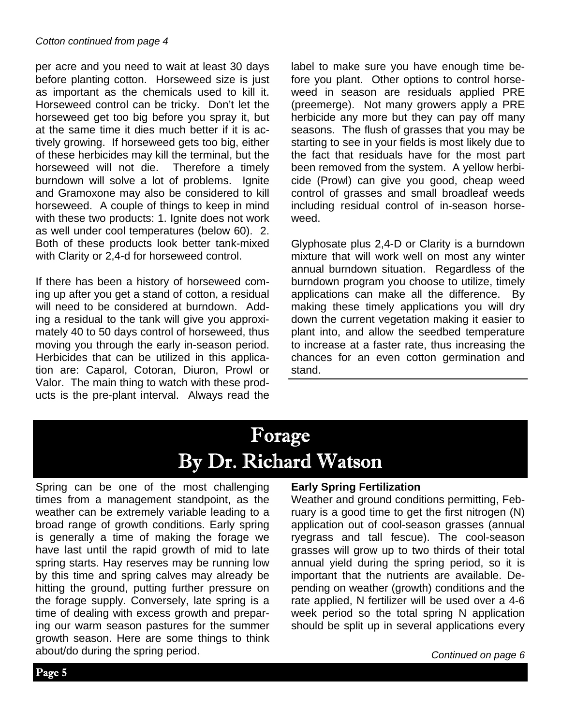per acre and you need to wait at least 30 days before planting cotton. Horseweed size is just as important as the chemicals used to kill it. Horseweed control can be tricky. Don't let the horseweed get too big before you spray it, but at the same time it dies much better if it is actively growing. If horseweed gets too big, either of these herbicides may kill the terminal, but the horseweed will not die. Therefore a timely burndown will solve a lot of problems. Ignite and Gramoxone may also be considered to kill horseweed. A couple of things to keep in mind with these two products: 1. Ignite does not work as well under cool temperatures (below 60). 2. Both of these products look better tank-mixed with Clarity or 2,4-d for horseweed control.

If there has been a history of horseweed coming up after you get a stand of cotton, a residual will need to be considered at burndown. Adding a residual to the tank will give you approximately 40 to 50 days control of horseweed, thus moving you through the early in-season period. Herbicides that can be utilized in this application are: Caparol, Cotoran, Diuron, Prowl or Valor. The main thing to watch with these products is the pre-plant interval. Always read the label to make sure you have enough time before you plant. Other options to control horseweed in season are residuals applied PRE (preemerge). Not many growers apply a PRE herbicide any more but they can pay off many seasons. The flush of grasses that you may be starting to see in your fields is most likely due to the fact that residuals have for the most part been removed from the system. A yellow herbicide (Prowl) can give you good, cheap weed control of grasses and small broadleaf weeds including residual control of in-season horseweed.

Glyphosate plus 2,4-D or Clarity is a burndown mixture that will work well on most any winter annual burndown situation. Regardless of the burndown program you choose to utilize, timely applications can make all the difference. By making these timely applications you will dry down the current vegetation making it easier to plant into, and allow the seedbed temperature to increase at a faster rate, thus increasing the chances for an even cotton germination and stand.

# Forage By Dr. Richard Watson

Spring can be one of the most challenging times from a management standpoint, as the weather can be extremely variable leading to a broad range of growth conditions. Early spring is generally a time of making the forage we have last until the rapid growth of mid to late spring starts. Hay reserves may be running low by this time and spring calves may already be hitting the ground, putting further pressure on the forage supply. Conversely, late spring is a time of dealing with excess growth and preparing our warm season pastures for the summer growth season. Here are some things to think about/do during the spring period.

### **Early Spring Fertilization**

Weather and ground conditions permitting, February is a good time to get the first nitrogen (N) application out of cool-season grasses (annual ryegrass and tall fescue). The cool-season grasses will grow up to two thirds of their total annual yield during the spring period, so it is important that the nutrients are available. Depending on weather (growth) conditions and the rate applied, N fertilizer will be used over a 4-6 week period so the total spring N application should be split up in several applications every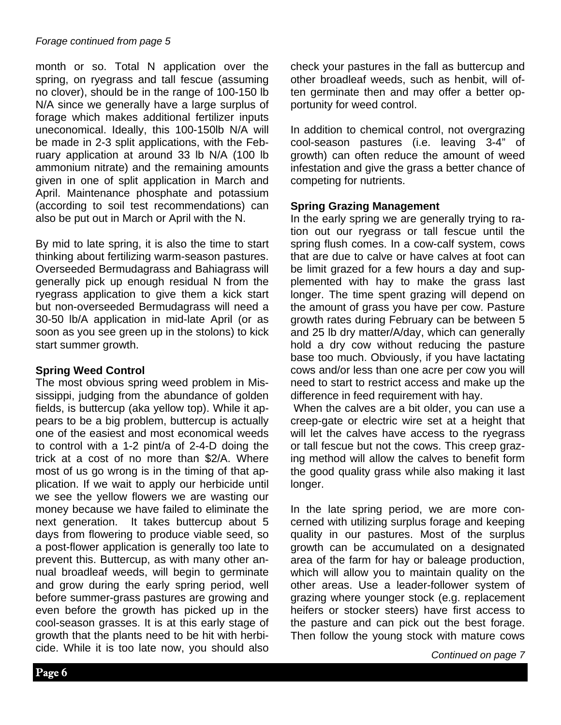#### *Forage continued from page 5*

month or so. Total N application over the spring, on ryegrass and tall fescue (assuming no clover), should be in the range of 100-150 lb N/A since we generally have a large surplus of forage which makes additional fertilizer inputs uneconomical. Ideally, this 100-150lb N/A will be made in 2-3 split applications, with the February application at around 33 lb N/A (100 lb ammonium nitrate) and the remaining amounts given in one of split application in March and April. Maintenance phosphate and potassium (according to soil test recommendations) can also be put out in March or April with the N.

By mid to late spring, it is also the time to start thinking about fertilizing warm-season pastures. Overseeded Bermudagrass and Bahiagrass will generally pick up enough residual N from the ryegrass application to give them a kick start but non-overseeded Bermudagrass will need a 30-50 lb/A application in mid-late April (or as soon as you see green up in the stolons) to kick start summer growth.

### **Spring Weed Control**

The most obvious spring weed problem in Mississippi, judging from the abundance of golden fields, is buttercup (aka yellow top). While it appears to be a big problem, buttercup is actually one of the easiest and most economical weeds to control with a 1-2 pint/a of 2-4-D doing the trick at a cost of no more than \$2/A. Where most of us go wrong is in the timing of that application. If we wait to apply our herbicide until we see the yellow flowers we are wasting our money because we have failed to eliminate the next generation. It takes buttercup about 5 days from flowering to produce viable seed, so a post-flower application is generally too late to prevent this. Buttercup, as with many other annual broadleaf weeds, will begin to germinate and grow during the early spring period, well before summer-grass pastures are growing and even before the growth has picked up in the cool-season grasses. It is at this early stage of growth that the plants need to be hit with herbicide. While it is too late now, you should also

check your pastures in the fall as buttercup and other broadleaf weeds, such as henbit, will often germinate then and may offer a better opportunity for weed control.

In addition to chemical control, not overgrazing cool-season pastures (i.e. leaving 3-4" of growth) can often reduce the amount of weed infestation and give the grass a better chance of competing for nutrients.

#### **Spring Grazing Management**

In the early spring we are generally trying to ration out our ryegrass or tall fescue until the spring flush comes. In a cow-calf system, cows that are due to calve or have calves at foot can be limit grazed for a few hours a day and supplemented with hay to make the grass last longer. The time spent grazing will depend on the amount of grass you have per cow. Pasture growth rates during February can be between 5 and 25 lb dry matter/A/day, which can generally hold a dry cow without reducing the pasture base too much. Obviously, if you have lactating cows and/or less than one acre per cow you will need to start to restrict access and make up the difference in feed requirement with hay.

 When the calves are a bit older, you can use a creep-gate or electric wire set at a height that will let the calves have access to the ryegrass or tall fescue but not the cows. This creep grazing method will allow the calves to benefit form the good quality grass while also making it last longer.

In the late spring period, we are more concerned with utilizing surplus forage and keeping quality in our pastures. Most of the surplus growth can be accumulated on a designated area of the farm for hay or baleage production, which will allow you to maintain quality on the other areas. Use a leader-follower system of grazing where younger stock (e.g. replacement heifers or stocker steers) have first access to the pasture and can pick out the best forage. Then follow the young stock with mature cows